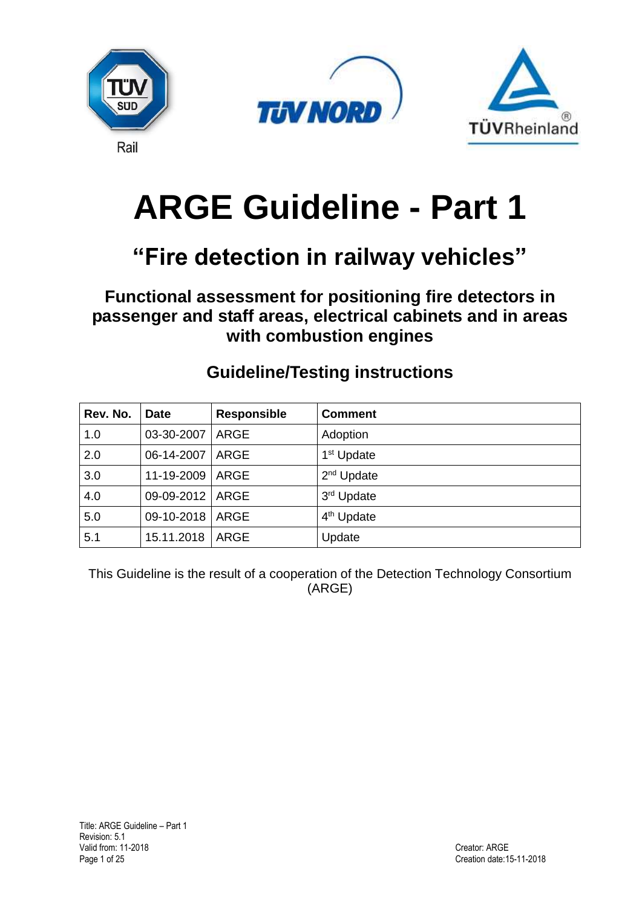





# **ARGE Guideline - Part 1**

## **"Fire detection in railway vehicles"**

**Functional assessment for positioning fire detectors in passenger and staff areas, electrical cabinets and in areas with combustion engines**

| Rev. No. | <b>Date</b> | <b>Responsible</b> | <b>Comment</b>         |
|----------|-------------|--------------------|------------------------|
| 1.0      | 03-30-2007  | <b>ARGE</b>        | Adoption               |
| 2.0      | 06-14-2007  | <b>ARGE</b>        | 1 <sup>st</sup> Update |
| 3.0      | 11-19-2009  | ARGE               | 2 <sup>nd</sup> Update |
| 4.0      | 09-09-2012  | ARGE               | 3rd Update             |
| 5.0      | 09-10-2018  | ARGE               | 4 <sup>th</sup> Update |
| 5.1      | 15.11.2018  | ARGE               | Update                 |

### **Guideline/Testing instructions**

This Guideline is the result of a cooperation of the Detection Technology Consortium (ARGE)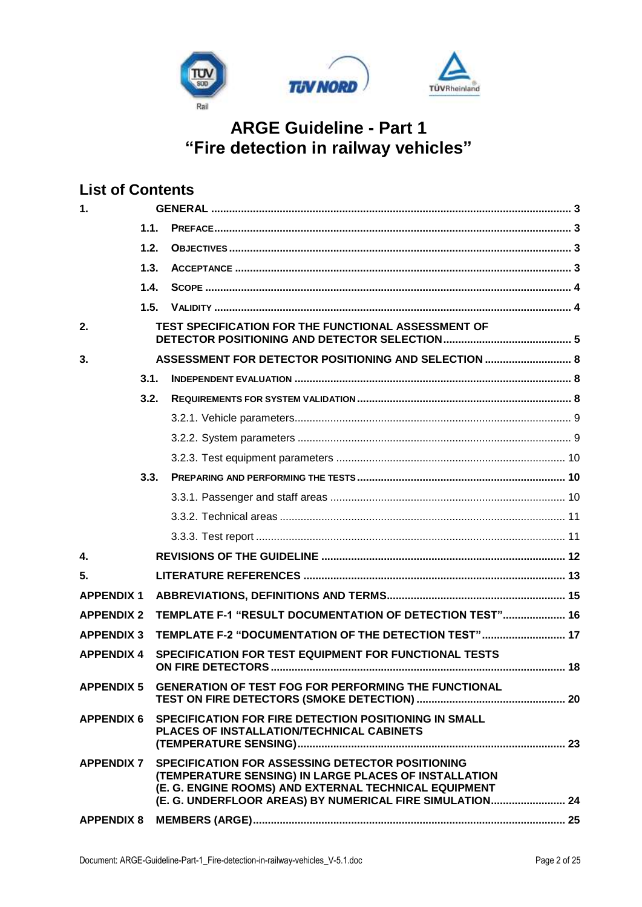

### **List of Contents**

| $\mathbf{1}$ .    |      |                                                                                                                                                                                                                                |  |
|-------------------|------|--------------------------------------------------------------------------------------------------------------------------------------------------------------------------------------------------------------------------------|--|
|                   | 1.1. |                                                                                                                                                                                                                                |  |
|                   | 1.2. |                                                                                                                                                                                                                                |  |
|                   | 1.3. |                                                                                                                                                                                                                                |  |
|                   | 1.4. |                                                                                                                                                                                                                                |  |
|                   | 1.5. |                                                                                                                                                                                                                                |  |
| 2.                |      | TEST SPECIFICATION FOR THE FUNCTIONAL ASSESSMENT OF                                                                                                                                                                            |  |
| 3.                |      | ASSESSMENT FOR DETECTOR POSITIONING AND SELECTION  8                                                                                                                                                                           |  |
|                   | 3.1. |                                                                                                                                                                                                                                |  |
|                   | 3.2. |                                                                                                                                                                                                                                |  |
|                   |      |                                                                                                                                                                                                                                |  |
|                   |      |                                                                                                                                                                                                                                |  |
|                   |      |                                                                                                                                                                                                                                |  |
|                   | 3.3. |                                                                                                                                                                                                                                |  |
|                   |      |                                                                                                                                                                                                                                |  |
|                   |      |                                                                                                                                                                                                                                |  |
|                   |      |                                                                                                                                                                                                                                |  |
| $\mathbf{4}$      |      |                                                                                                                                                                                                                                |  |
| 5.                |      |                                                                                                                                                                                                                                |  |
| <b>APPENDIX 1</b> |      |                                                                                                                                                                                                                                |  |
| <b>APPENDIX 2</b> |      | TEMPLATE F-1 "RESULT DOCUMENTATION OF DETECTION TEST" 16                                                                                                                                                                       |  |
| <b>APPENDIX 3</b> |      | TEMPLATE F-2 "DOCUMENTATION OF THE DETECTION TEST" 17                                                                                                                                                                          |  |
| <b>APPENDIX 4</b> |      | SPECIFICATION FOR TEST EQUIPMENT FOR FUNCTIONAL TESTS                                                                                                                                                                          |  |
|                   |      | APPENDIX 5 GENERATION OF TEST FOG FOR PERFORMING THE FUNCTIONAL                                                                                                                                                                |  |
| <b>APPENDIX 6</b> |      | SPECIFICATION FOR FIRE DETECTION POSITIONING IN SMALL<br>PLACES OF INSTALLATION/TECHNICAL CABINETS                                                                                                                             |  |
| <b>APPENDIX 7</b> |      | SPECIFICATION FOR ASSESSING DETECTOR POSITIONING<br>(TEMPERATURE SENSING) IN LARGE PLACES OF INSTALLATION<br>(E. G. ENGINE ROOMS) AND EXTERNAL TECHNICAL EQUIPMENT<br>(E. G. UNDERFLOOR AREAS) BY NUMERICAL FIRE SIMULATION 24 |  |
| <b>APPENDIX 8</b> |      |                                                                                                                                                                                                                                |  |
|                   |      |                                                                                                                                                                                                                                |  |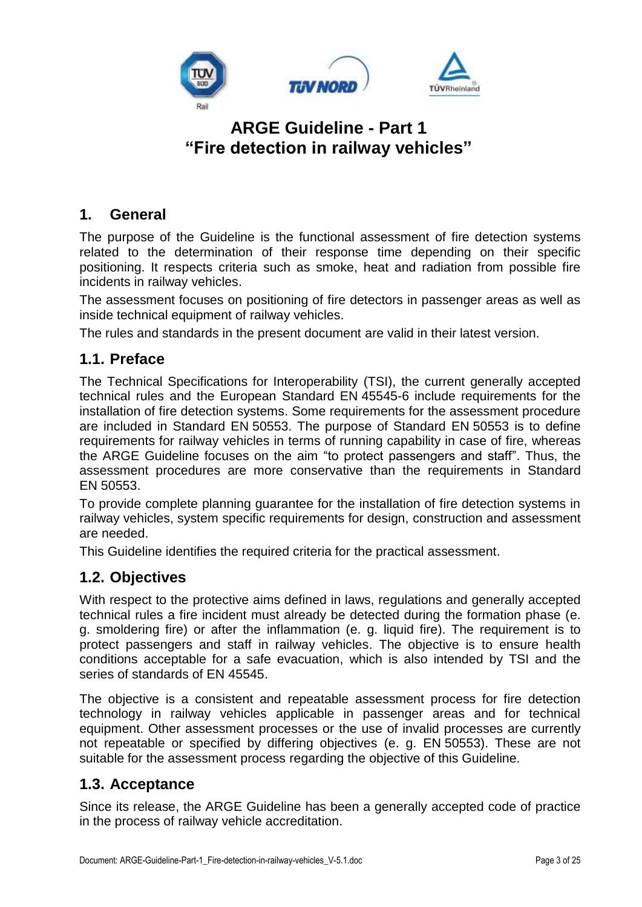

### <span id="page-2-0"></span>**1. General**

The purpose of the Guideline is the functional assessment of fire detection systems related to the determination of their response time depending on their specific positioning. It respects criteria such as smoke, heat and radiation from possible fire incidents in railway vehicles.

The assessment focuses on positioning of fire detectors in passenger areas as well as inside technical equipment of railway vehicles.

The rules and standards in the present document are valid in their latest version.

### <span id="page-2-1"></span>**1.1. Preface**

The Technical Specifications for Interoperability (TSI), the current generally accepted technical rules and the European Standard EN 45545-6 include requirements for the installation of fire detection systems. Some requirements for the assessment procedure are included in Standard EN 50553. The purpose of Standard EN 50553 is to define requirements for railway vehicles in terms of running capability in case of fire, whereas the ARGE Guideline focuses on the aim "to protect passengers and staff". Thus, the assessment procedures are more conservative than the requirements in Standard EN 50553.

To provide complete planning guarantee for the installation of fire detection systems in railway vehicles, system specific requirements for design, construction and assessment are needed.

This Guideline identifies the required criteria for the practical assessment.

### <span id="page-2-2"></span>**1.2. Objectives**

With respect to the protective aims defined in laws, regulations and generally accepted technical rules a fire incident must already be detected during the formation phase (e. g. smoldering fire) or after the inflammation (e. g. liquid fire). The requirement is to protect passengers and staff in railway vehicles. The objective is to ensure health conditions acceptable for a safe evacuation, which is also intended by TSI and the series of standards of EN 45545.

The objective is a consistent and repeatable assessment process for fire detection technology in railway vehicles applicable in passenger areas and for technical equipment. Other assessment processes or the use of invalid processes are currently not repeatable or specified by differing objectives (e. g. EN 50553). These are not suitable for the assessment process regarding the objective of this Guideline.

### <span id="page-2-3"></span>**1.3. Acceptance**

Since its release, the ARGE Guideline has been a generally accepted code of practice in the process of railway vehicle accreditation.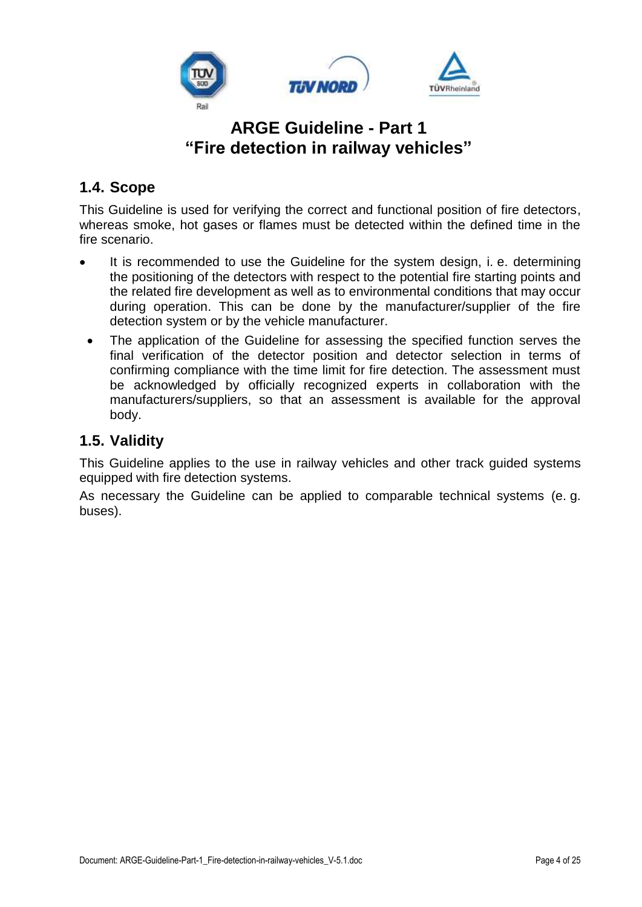

### <span id="page-3-0"></span>**1.4. Scope**

This Guideline is used for verifying the correct and functional position of fire detectors, whereas smoke, hot gases or flames must be detected within the defined time in the fire scenario.

- It is recommended to use the Guideline for the system design, i. e. determining the positioning of the detectors with respect to the potential fire starting points and the related fire development as well as to environmental conditions that may occur during operation. This can be done by the manufacturer/supplier of the fire detection system or by the vehicle manufacturer.
- The application of the Guideline for assessing the specified function serves the final verification of the detector position and detector selection in terms of confirming compliance with the time limit for fire detection. The assessment must be acknowledged by officially recognized experts in collaboration with the manufacturers/suppliers, so that an assessment is available for the approval body.

#### <span id="page-3-1"></span>**1.5. Validity**

This Guideline applies to the use in railway vehicles and other track guided systems equipped with fire detection systems.

As necessary the Guideline can be applied to comparable technical systems (e. g. buses).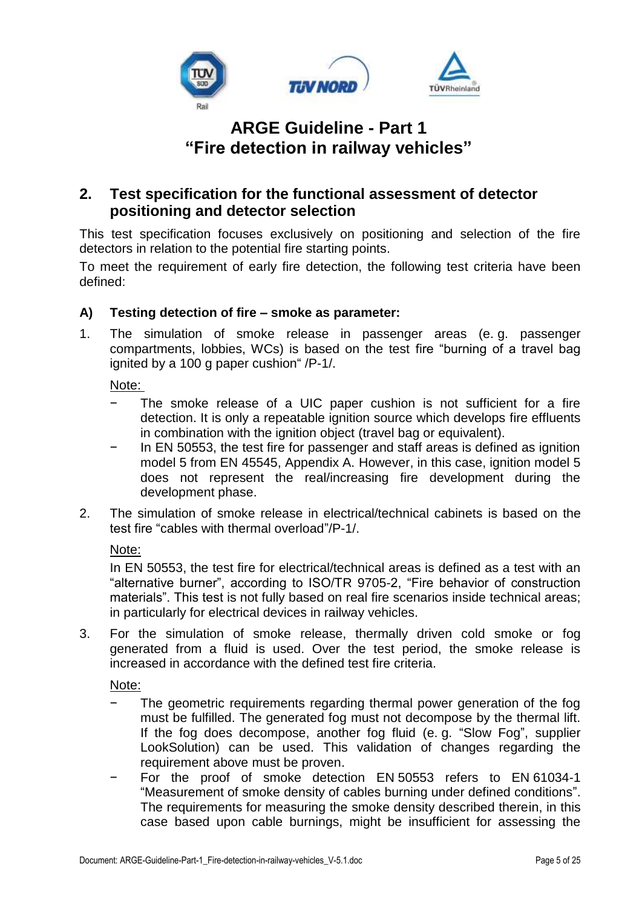

### <span id="page-4-0"></span>**2. Test specification for the functional assessment of detector positioning and detector selection**

This test specification focuses exclusively on positioning and selection of the fire detectors in relation to the potential fire starting points.

To meet the requirement of early fire detection, the following test criteria have been defined:

#### **A) Testing detection of fire – smoke as parameter:**

1. The simulation of smoke release in passenger areas (e. g. passenger compartments, lobbies, WCs) is based on the test fire "burning of a travel bag ignited by a 100 g paper cushion" [/P-1/.](#page-12-1)

Note:

- − The smoke release of a UIC paper cushion is not sufficient for a fire detection. It is only a repeatable ignition source which develops fire effluents in combination with the ignition object (travel bag or equivalent).
- In EN 50553, the test fire for passenger and staff areas is defined as ignition model 5 from EN 45545, Appendix A. However, in this case, ignition model 5 does not represent the real/increasing fire development during the development phase.
- 2. The simulation of smoke release in electrical/technical cabinets is based on the test fire "cables with thermal overload["/P-1/.](#page-12-1)

Note:

In EN 50553, the test fire for electrical/technical areas is defined as a test with an "alternative burner", according to ISO/TR 9705-2, "Fire behavior of construction materials". This test is not fully based on real fire scenarios inside technical areas; in particularly for electrical devices in railway vehicles.

3. For the simulation of smoke release, thermally driven cold smoke or fog generated from a fluid is used. Over the test period, the smoke release is increased in accordance with the defined test fire criteria.

Note:

- The geometric requirements regarding thermal power generation of the fog must be fulfilled. The generated fog must not decompose by the thermal lift. If the fog does decompose, another fog fluid (e. g. "Slow Fog", supplier LookSolution) can be used. This validation of changes regarding the requirement above must be proven.
- − For the proof of smoke detection EN 50553 refers to EN 61034-1 "Measurement of smoke density of cables burning under defined conditions". The requirements for measuring the smoke density described therein, in this case based upon cable burnings, might be insufficient for assessing the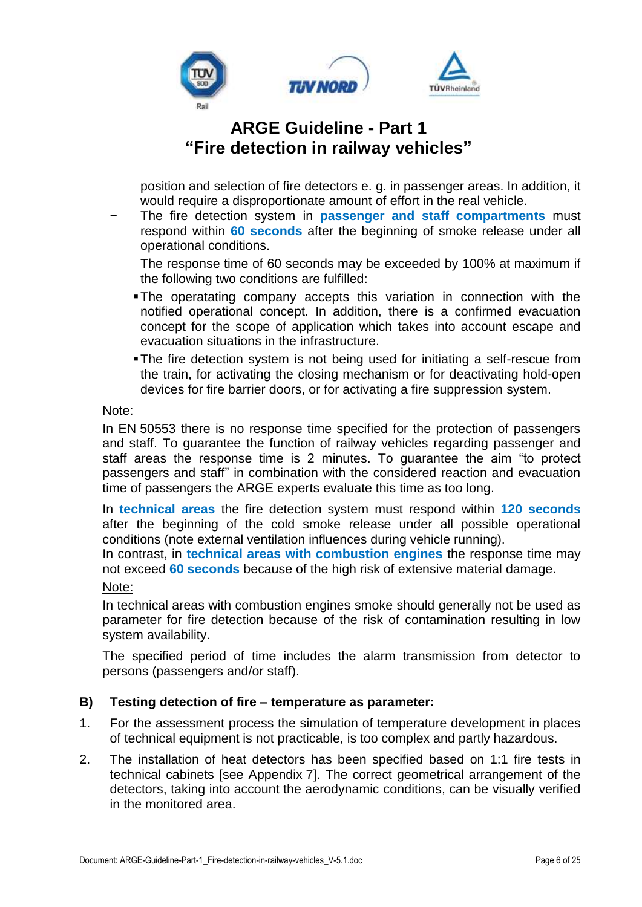

position and selection of fire detectors e. g. in passenger areas. In addition, it would require a disproportionate amount of effort in the real vehicle.

The fire detection system in **passenger and staff compartments** must respond within **60 seconds** after the beginning of smoke release under all operational conditions.

The response time of 60 seconds may be exceeded by 100% at maximum if the following two conditions are fulfilled:

- **The operatating company accepts this variation in connection with the** notified operational concept. In addition, there is a confirmed evacuation concept for the scope of application which takes into account escape and evacuation situations in the infrastructure.
- The fire detection system is not being used for initiating a self-rescue from the train, for activating the closing mechanism or for deactivating hold-open devices for fire barrier doors, or for activating a fire suppression system.

#### Note:

In EN 50553 there is no response time specified for the protection of passengers and staff. To guarantee the function of railway vehicles regarding passenger and staff areas the response time is 2 minutes. To guarantee the aim "to protect passengers and staff" in combination with the considered reaction and evacuation time of passengers the ARGE experts evaluate this time as too long.

In **technical areas** the fire detection system must respond within **120 seconds** after the beginning of the cold smoke release under all possible operational conditions (note external ventilation influences during vehicle running).

In contrast, in **technical areas with combustion engines** the response time may not exceed **60 seconds** because of the high risk of extensive material damage.

#### Note:

In technical areas with combustion engines smoke should generally not be used as parameter for fire detection because of the risk of contamination resulting in low system availability.

The specified period of time includes the alarm transmission from detector to persons (passengers and/or staff).

#### **B) Testing detection of fire – temperature as parameter:**

- 1. For the assessment process the simulation of temperature development in places of technical equipment is not practicable, is too complex and partly hazardous.
- 2. The installation of heat detectors has been specified based on 1:1 fire tests in technical cabinets [see [Appendix](#page-23-0) 7]. The correct geometrical arrangement of the detectors, taking into account the aerodynamic conditions, can be visually verified in the monitored area.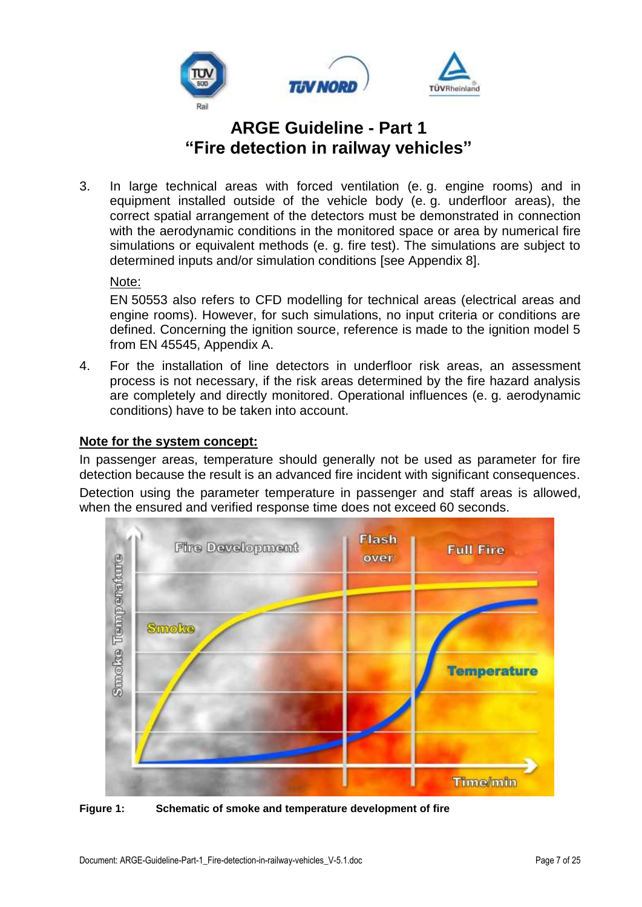

3. In large technical areas with forced ventilation (e. g. engine rooms) and in equipment installed outside of the vehicle body (e. g. underfloor areas), the correct spatial arrangement of the detectors must be demonstrated in connection with the aerodynamic conditions in the monitored space or area by numerical fire simulations or equivalent methods (e. g. fire test). The simulations are subject to determined inputs and/or simulation conditions [see [Appendix](#page-24-0) 8].

#### Note:

EN 50553 also refers to CFD modelling for technical areas (electrical areas and engine rooms). However, for such simulations, no input criteria or conditions are defined. Concerning the ignition source, reference is made to the ignition model 5 from EN 45545, Appendix A.

4. For the installation of line detectors in underfloor risk areas, an assessment process is not necessary, if the risk areas determined by the fire hazard analysis are completely and directly monitored. Operational influences (e. g. aerodynamic conditions) have to be taken into account.

#### **Note for the system concept:**

In passenger areas, temperature should generally not be used as parameter for fire detection because the result is an advanced fire incident with significant consequences.

Detection using the parameter temperature in passenger and staff areas is allowed, when the ensured and verified response time does not exceed 60 seconds.



**Figure 1: Schematic of smoke and temperature development of fire**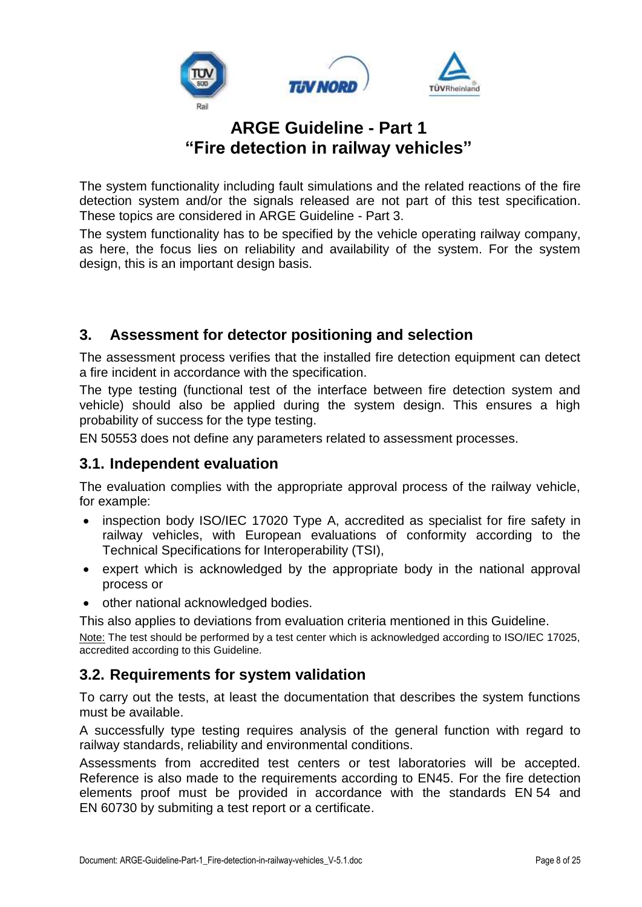

The system functionality including fault simulations and the related reactions of the fire detection system and/or the signals released are not part of this test specification. These topics are considered in ARGE Guideline - Part 3.

<span id="page-7-0"></span>The system functionality has to be specified by the vehicle operating railway company, as here, the focus lies on reliability and availability of the system. For the system design, this is an important design basis.

### **3. Assessment for detector positioning and selection**

The assessment process verifies that the installed fire detection equipment can detect a fire incident in accordance with the specification.

The type testing (functional test of the interface between fire detection system and vehicle) should also be applied during the system design. This ensures a high probability of success for the type testing.

EN 50553 does not define any parameters related to assessment processes.

#### <span id="page-7-1"></span>**3.1. Independent evaluation**

The evaluation complies with the appropriate approval process of the railway vehicle, for example:

- inspection body ISO/IEC 17020 Type A, accredited as specialist for fire safety in railway vehicles, with European evaluations of conformity according to the Technical Specifications for Interoperability (TSI),
- expert which is acknowledged by the appropriate body in the national approval process or
- other national acknowledged bodies.

This also applies to deviations from evaluation criteria mentioned in this Guideline. Note: The test should be performed by a test center which is acknowledged according to ISO/IEC 17025, accredited according to this Guideline.

### <span id="page-7-2"></span>**3.2. Requirements for system validation**

To carry out the tests, at least the documentation that describes the system functions must be available.

A successfully type testing requires analysis of the general function with regard to railway standards, reliability and environmental conditions.

Assessments from accredited test centers or test laboratories will be accepted. Reference is also made to the requirements according to EN45. For the fire detection elements proof must be provided in accordance with the standards EN 54 and EN 60730 by submiting a test report or a certificate.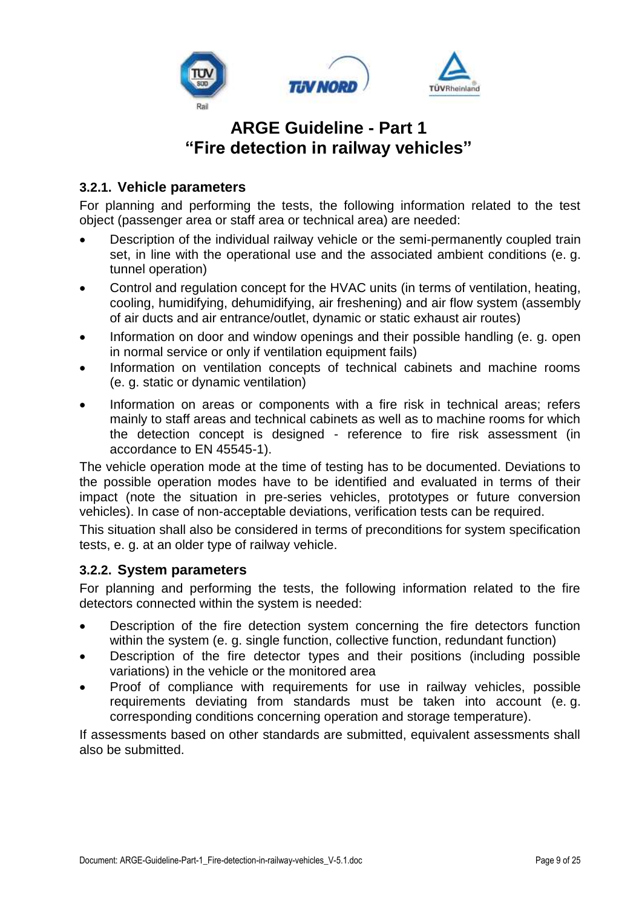

#### <span id="page-8-0"></span>**3.2.1. Vehicle parameters**

For planning and performing the tests, the following information related to the test object (passenger area or staff area or technical area) are needed:

- Description of the individual railway vehicle or the semi-permanently coupled train set, in line with the operational use and the associated ambient conditions (e. g. tunnel operation)
- Control and regulation concept for the HVAC units (in terms of ventilation, heating, cooling, humidifying, dehumidifying, air freshening) and air flow system (assembly of air ducts and air entrance/outlet, dynamic or static exhaust air routes)
- Information on door and window openings and their possible handling (e. g. open in normal service or only if ventilation equipment fails)
- Information on ventilation concepts of technical cabinets and machine rooms (e. g. static or dynamic ventilation)
- Information on areas or components with a fire risk in technical areas; refers mainly to staff areas and technical cabinets as well as to machine rooms for which the detection concept is designed - reference to fire risk assessment (in accordance to EN 45545-1).

The vehicle operation mode at the time of testing has to be documented. Deviations to the possible operation modes have to be identified and evaluated in terms of their impact (note the situation in pre-series vehicles, prototypes or future conversion vehicles). In case of non-acceptable deviations, verification tests can be required.

This situation shall also be considered in terms of preconditions for system specification tests, e. g. at an older type of railway vehicle.

#### <span id="page-8-1"></span>**3.2.2. System parameters**

For planning and performing the tests, the following information related to the fire detectors connected within the system is needed:

- Description of the fire detection system concerning the fire detectors function within the system (e. g. single function, collective function, redundant function)
- Description of the fire detector types and their positions (including possible variations) in the vehicle or the monitored area
- Proof of compliance with requirements for use in railway vehicles, possible requirements deviating from standards must be taken into account (e. g. corresponding conditions concerning operation and storage temperature).

If assessments based on other standards are submitted, equivalent assessments shall also be submitted.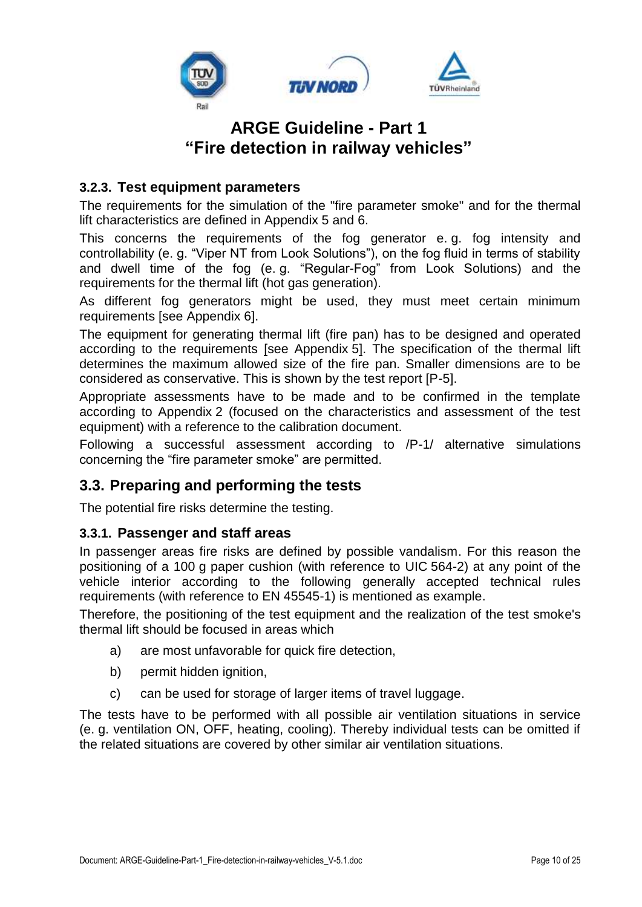

#### <span id="page-9-0"></span>**3.2.3. Test equipment parameters**

The requirements for the simulation of the "fire parameter smoke" and for the thermal lift characteristics are defined in Appendix 5 and 6.

This concerns the requirements of the fog generator e. g. fog intensity and controllability (e. g. "Viper NT from Look Solutions"), on the fog fluid in terms of stability and dwell time of the fog (e. g. "Regular-Fog" from Look Solutions) and the requirements for the thermal lift (hot gas generation).

As different fog generators might be used, they must meet certain minimum requirements [see [Appendix](#page-19-0) 6].

The equipment for generating thermal lift (fire pan) has to be designed and operated according to the requirements [see [Appendix](#page-17-0) 5]. The specification of the thermal lift determines the maximum allowed size of the fire pan. Smaller dimensions are to be considered as conservative. This is shown by the test report [P-5].

Appropriate assessments have to be made and to be confirmed in the template according to [Appendix](#page-15-0) 2 (focused on the characteristics and assessment of the test equipment) with a reference to the calibration document.

Following a successful assessment according to /P-1/ alternative simulations concerning the "fire parameter smoke" are permitted.

### <span id="page-9-1"></span>**3.3. Preparing and performing the tests**

The potential fire risks determine the testing.

#### <span id="page-9-2"></span>**3.3.1. Passenger and staff areas**

In passenger areas fire risks are defined by possible vandalism. For this reason the positioning of a 100 g paper cushion (with reference to UIC 564-2) at any point of the vehicle interior according to the following generally accepted technical rules requirements (with reference to EN 45545-1) is mentioned as example.

Therefore, the positioning of the test equipment and the realization of the test smoke's thermal lift should be focused in areas which

- a) are most unfavorable for quick fire detection,
- b) permit hidden ignition,
- c) can be used for storage of larger items of travel luggage.

The tests have to be performed with all possible air ventilation situations in service (e. g. ventilation ON, OFF, heating, cooling). Thereby individual tests can be omitted if the related situations are covered by other similar air ventilation situations.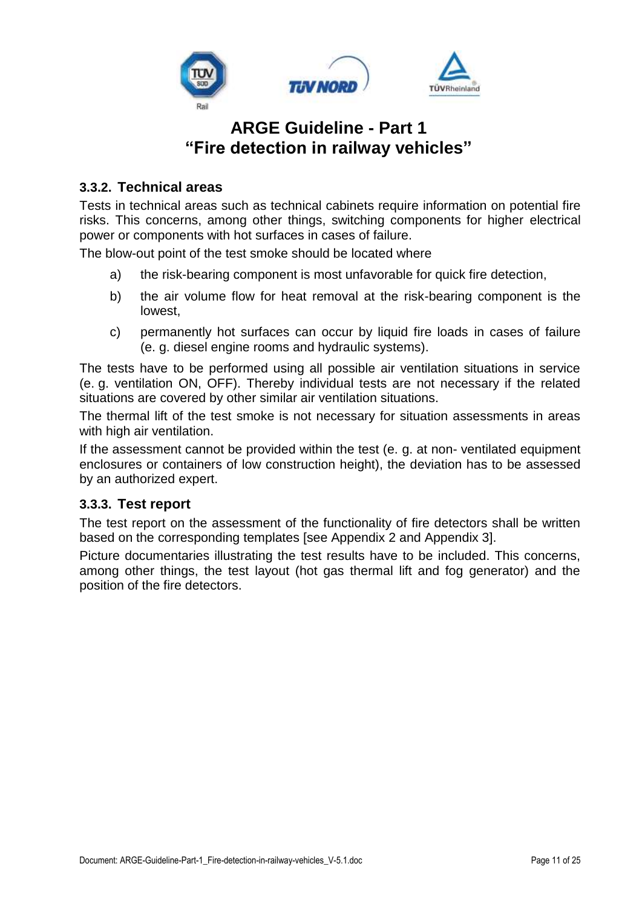

#### <span id="page-10-0"></span>**3.3.2. Technical areas**

Tests in technical areas such as technical cabinets require information on potential fire risks. This concerns, among other things, switching components for higher electrical power or components with hot surfaces in cases of failure.

The blow-out point of the test smoke should be located where

- a) the risk-bearing component is most unfavorable for quick fire detection,
- b) the air volume flow for heat removal at the risk-bearing component is the lowest,
- c) permanently hot surfaces can occur by liquid fire loads in cases of failure (e. g. diesel engine rooms and hydraulic systems).

The tests have to be performed using all possible air ventilation situations in service (e. g. ventilation ON, OFF). Thereby individual tests are not necessary if the related situations are covered by other similar air ventilation situations.

The thermal lift of the test smoke is not necessary for situation assessments in areas with high air ventilation.

If the assessment cannot be provided within the test (e. g. at non- ventilated equipment enclosures or containers of low construction height), the deviation has to be assessed by an authorized expert.

#### <span id="page-10-1"></span>**3.3.3. Test report**

The test report on the assessment of the functionality of fire detectors shall be written based on the corresponding templates [see [Appendix](#page-15-0) 2 and [Appendix](#page-16-0) 3].

Picture documentaries illustrating the test results have to be included. This concerns, among other things, the test layout (hot gas thermal lift and fog generator) and the position of the fire detectors.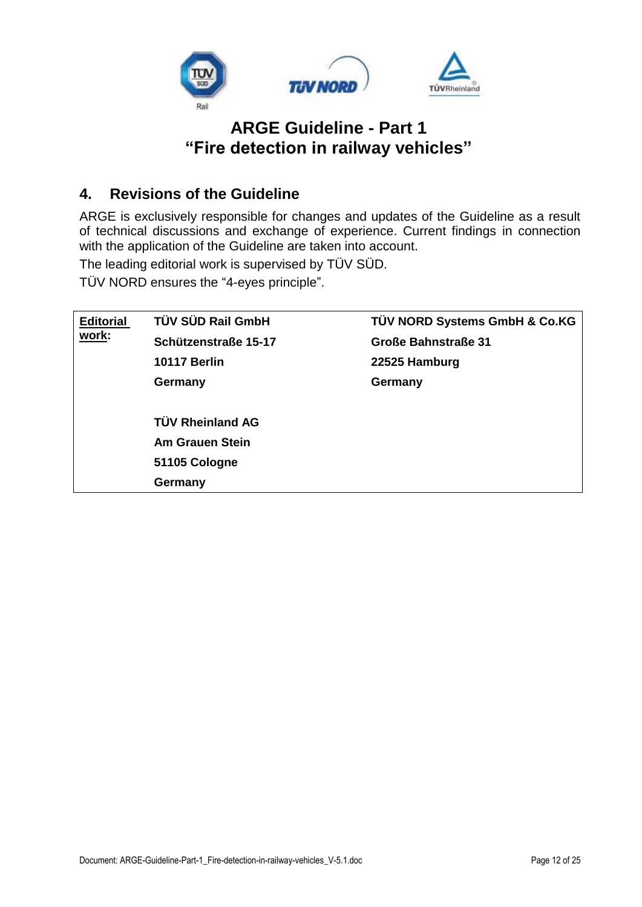

### <span id="page-11-0"></span>**4. Revisions of the Guideline**

ARGE is exclusively responsible for changes and updates of the Guideline as a result of technical discussions and exchange of experience. Current findings in connection with the application of the Guideline are taken into account.

The leading editorial work is supervised by TÜV SÜD.

TÜV NORD ensures the "4-eyes principle".

| <b>Editorial</b> | <b>TÜV SÜD Rail GmbH</b> | <b>TÜV NORD Systems GmbH &amp; Co.KG</b> |  |
|------------------|--------------------------|------------------------------------------|--|
| work:            | Schützenstraße 15-17     | <b>Große Bahnstraße 31</b>               |  |
|                  | <b>10117 Berlin</b>      | 22525 Hamburg                            |  |
|                  | Germany                  | Germany                                  |  |
|                  |                          |                                          |  |
|                  | <b>TÜV Rheinland AG</b>  |                                          |  |
|                  | <b>Am Grauen Stein</b>   |                                          |  |
|                  | 51105 Cologne            |                                          |  |
|                  | Germany                  |                                          |  |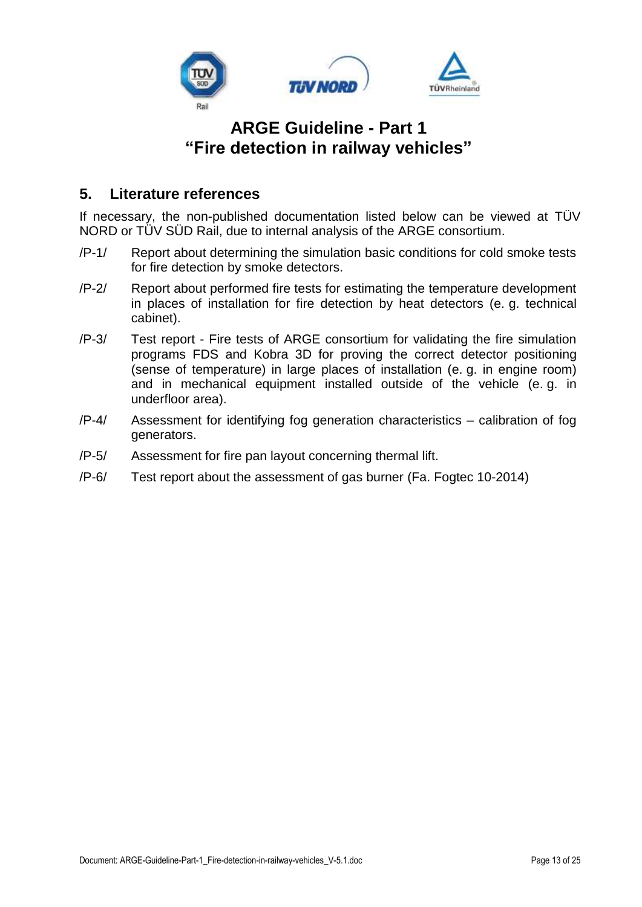

#### <span id="page-12-0"></span>**5. Literature references**

If necessary, the non-published documentation listed below can be viewed at TÜV NORD or TÜV SÜD Rail, due to internal analysis of the ARGE consortium.

- <span id="page-12-1"></span>/P-1/ Report about determining the simulation basic conditions for cold smoke tests for fire detection by smoke detectors.
- /P-2/ Report about performed fire tests for estimating the temperature development in places of installation for fire detection by heat detectors (e. g. technical cabinet).
- /P-3/ Test report Fire tests of ARGE consortium for validating the fire simulation programs FDS and Kobra 3D for proving the correct detector positioning (sense of temperature) in large places of installation (e. g. in engine room) and in mechanical equipment installed outside of the vehicle (e. g. in underfloor area).
- /P-4/ Assessment for identifying fog generation characteristics calibration of fog generators.
- /P-5/ Assessment for fire pan layout concerning thermal lift.
- /P-6/ Test report about the assessment of gas burner (Fa. Fogtec 10-2014)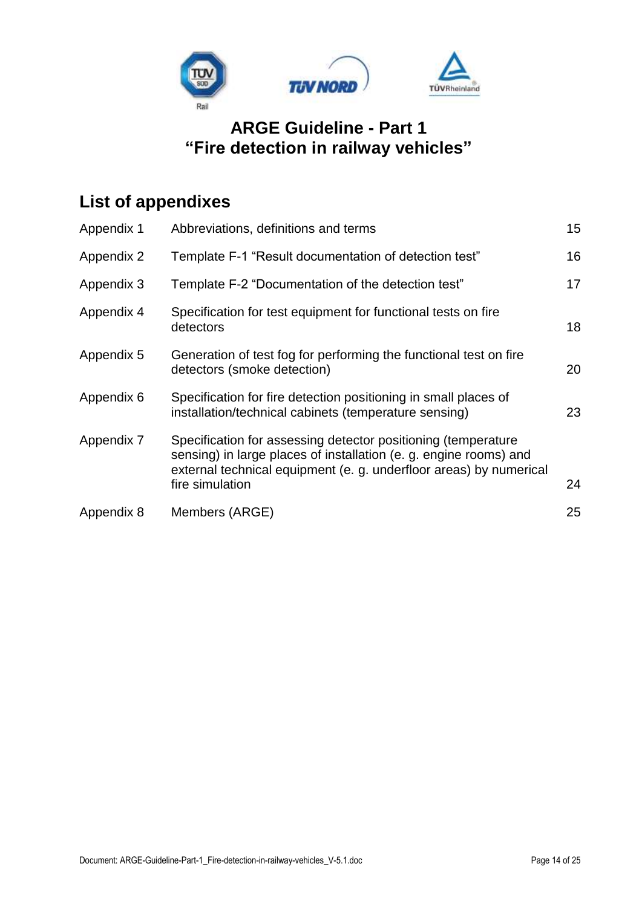

### **List of appendixes**

| Appendix 1 | Abbreviations, definitions and terms                                                                                                                                                                                        | 15 <sub>1</sub> |
|------------|-----------------------------------------------------------------------------------------------------------------------------------------------------------------------------------------------------------------------------|-----------------|
| Appendix 2 | Template F-1 "Result documentation of detection test"                                                                                                                                                                       | 16              |
| Appendix 3 | Template F-2 "Documentation of the detection test"                                                                                                                                                                          | 17              |
| Appendix 4 | Specification for test equipment for functional tests on fire<br>detectors                                                                                                                                                  | 18              |
| Appendix 5 | Generation of test fog for performing the functional test on fire<br>detectors (smoke detection)                                                                                                                            | 20              |
| Appendix 6 | Specification for fire detection positioning in small places of<br>installation/technical cabinets (temperature sensing)                                                                                                    | 23              |
| Appendix 7 | Specification for assessing detector positioning (temperature<br>sensing) in large places of installation (e. g. engine rooms) and<br>external technical equipment (e. g. underfloor areas) by numerical<br>fire simulation | 24              |
| Appendix 8 | Members (ARGE)                                                                                                                                                                                                              | 25              |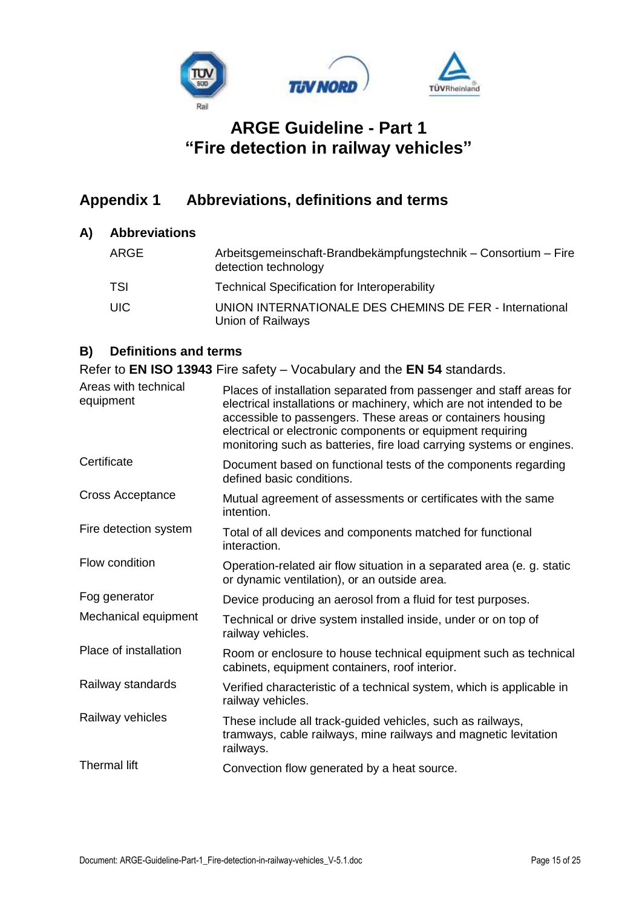

### <span id="page-14-0"></span>**Appendix 1 Abbreviations, definitions and terms**

#### **A) Abbreviations**

| ARGE | Arbeitsgemeinschaft-Brandbekämpfungstechnik – Consortium – Fire<br>detection technology |
|------|-----------------------------------------------------------------------------------------|
| TSI  | <b>Technical Specification for Interoperability</b>                                     |
| UIC. | UNION INTERNATIONALE DES CHEMINS DE FER - International<br>Union of Railways            |

#### **B) Definitions and terms**

Refer to **EN ISO 13943** Fire safety – Vocabulary and the **EN 54** standards.

| Areas with technical<br>equipment | Places of installation separated from passenger and staff areas for<br>electrical installations or machinery, which are not intended to be<br>accessible to passengers. These areas or containers housing<br>electrical or electronic components or equipment requiring<br>monitoring such as batteries, fire load carrying systems or engines. |
|-----------------------------------|-------------------------------------------------------------------------------------------------------------------------------------------------------------------------------------------------------------------------------------------------------------------------------------------------------------------------------------------------|
| Certificate                       | Document based on functional tests of the components regarding<br>defined basic conditions.                                                                                                                                                                                                                                                     |
| <b>Cross Acceptance</b>           | Mutual agreement of assessments or certificates with the same<br>intention.                                                                                                                                                                                                                                                                     |
| Fire detection system             | Total of all devices and components matched for functional<br>interaction.                                                                                                                                                                                                                                                                      |
| Flow condition                    | Operation-related air flow situation in a separated area (e. g. static<br>or dynamic ventilation), or an outside area.                                                                                                                                                                                                                          |
| Fog generator                     | Device producing an aerosol from a fluid for test purposes.                                                                                                                                                                                                                                                                                     |
| Mechanical equipment              | Technical or drive system installed inside, under or on top of<br>railway vehicles.                                                                                                                                                                                                                                                             |
| Place of installation             | Room or enclosure to house technical equipment such as technical<br>cabinets, equipment containers, roof interior.                                                                                                                                                                                                                              |
| Railway standards                 | Verified characteristic of a technical system, which is applicable in<br>railway vehicles.                                                                                                                                                                                                                                                      |
| Railway vehicles                  | These include all track-guided vehicles, such as railways,<br>tramways, cable railways, mine railways and magnetic levitation<br>railways.                                                                                                                                                                                                      |
| <b>Thermal lift</b>               | Convection flow generated by a heat source.                                                                                                                                                                                                                                                                                                     |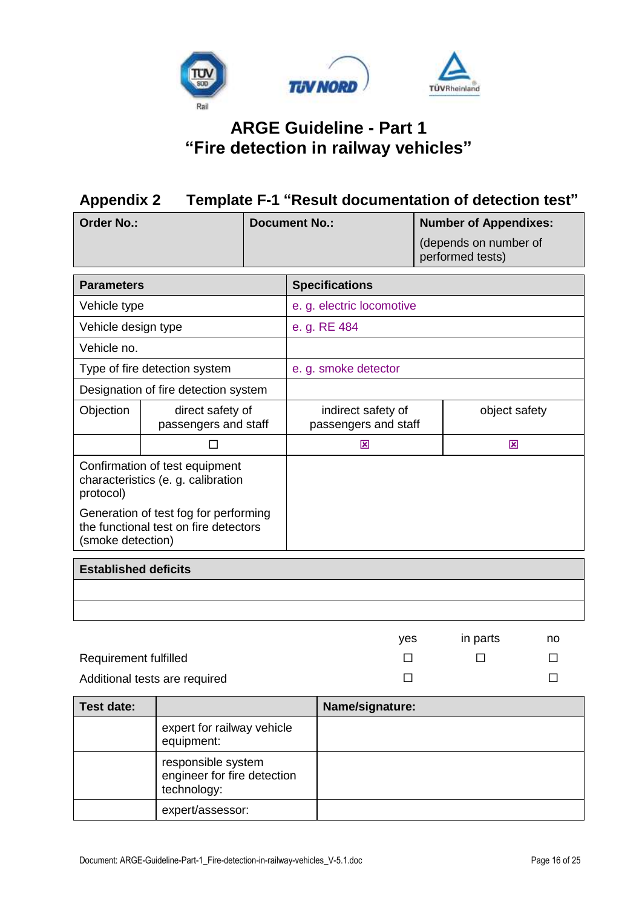

<span id="page-15-0"></span>

| <b>Appendix 2</b>                                                                                   |                                          |                      | <b>Template F-1 "Result documentation of detection test"</b> |                                           |                              |    |
|-----------------------------------------------------------------------------------------------------|------------------------------------------|----------------------|--------------------------------------------------------------|-------------------------------------------|------------------------------|----|
| <b>Order No.:</b>                                                                                   |                                          | <b>Document No.:</b> |                                                              |                                           | <b>Number of Appendixes:</b> |    |
|                                                                                                     |                                          |                      |                                                              | (depends on number of<br>performed tests) |                              |    |
| <b>Parameters</b>                                                                                   |                                          |                      | <b>Specifications</b>                                        |                                           |                              |    |
| Vehicle type                                                                                        |                                          |                      | e. g. electric locomotive                                    |                                           |                              |    |
| Vehicle design type                                                                                 |                                          |                      | e. g. RE 484                                                 |                                           |                              |    |
| Vehicle no.                                                                                         |                                          |                      |                                                              |                                           |                              |    |
|                                                                                                     | Type of fire detection system            |                      | e. g. smoke detector                                         |                                           |                              |    |
|                                                                                                     | Designation of fire detection system     |                      |                                                              |                                           |                              |    |
| Objection                                                                                           | direct safety of<br>passengers and staff |                      | indirect safety of<br>passengers and staff                   |                                           | object safety                |    |
|                                                                                                     | $\Box$                                   |                      | $\mathbf{\overline{x}}$                                      |                                           | 図                            |    |
| Confirmation of test equipment<br>characteristics (e. g. calibration<br>protocol)                   |                                          |                      |                                                              |                                           |                              |    |
| Generation of test fog for performing<br>the functional test on fire detectors<br>(smoke detection) |                                          |                      |                                                              |                                           |                              |    |
| <b>Established deficits</b>                                                                         |                                          |                      |                                                              |                                           |                              |    |
|                                                                                                     |                                          |                      |                                                              |                                           |                              |    |
|                                                                                                     |                                          |                      |                                                              |                                           |                              |    |
|                                                                                                     |                                          |                      | yes                                                          |                                           | in parts                     | no |
| <b>Requirement fulfilled</b>                                                                        |                                          |                      | П                                                            |                                           | П                            | П  |
| Additional tests are required                                                                       |                                          |                      | П                                                            |                                           |                              | □  |
| <b>Test date:</b>                                                                                   |                                          |                      | Name/signature:                                              |                                           |                              |    |

| Test date: |                                                                  | Name/signature: |
|------------|------------------------------------------------------------------|-----------------|
|            | expert for railway vehicle<br>equipment:                         |                 |
|            | responsible system<br>engineer for fire detection<br>technology: |                 |
|            | expert/assessor:                                                 |                 |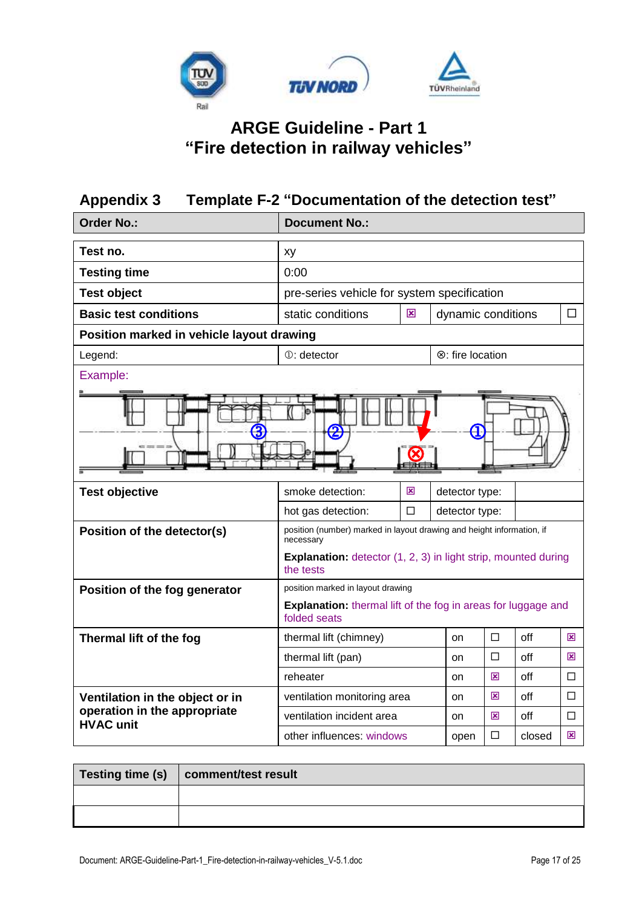

<span id="page-16-0"></span>

| <b>Appendix 3</b>                                | <b>Template F-2 "Documentation of the detection test"</b>                            |        |                    |        |     |   |
|--------------------------------------------------|--------------------------------------------------------------------------------------|--------|--------------------|--------|-----|---|
| <b>Order No.:</b>                                | <b>Document No.:</b>                                                                 |        |                    |        |     |   |
| Test no.                                         | xy                                                                                   |        |                    |        |     |   |
| <b>Testing time</b>                              | 0:00                                                                                 |        |                    |        |     |   |
| <b>Test object</b>                               | pre-series vehicle for system specification                                          |        |                    |        |     |   |
| <b>Basic test conditions</b>                     | static conditions                                                                    | ⊠      | dynamic conditions |        |     | □ |
| Position marked in vehicle layout drawing        |                                                                                      |        |                    |        |     |   |
| Legend:                                          | $\mathbb{O}$ : detector                                                              |        | ⊗: fire location   |        |     |   |
| Example:                                         |                                                                                      |        |                    |        |     |   |
|                                                  |                                                                                      |        | 0                  |        |     |   |
|                                                  |                                                                                      |        |                    |        |     |   |
| <b>Test objective</b>                            | smoke detection:                                                                     | 図      | detector type:     |        |     |   |
|                                                  | hot gas detection:                                                                   | $\Box$ | detector type:     |        |     |   |
| Position of the detector(s)                      | position (number) marked in layout drawing and height information, if<br>necessary   |        |                    |        |     |   |
|                                                  | <b>Explanation:</b> detector (1, 2, 3) in light strip, mounted during<br>the tests   |        |                    |        |     |   |
| Position of the fog generator                    | position marked in layout drawing                                                    |        |                    |        |     |   |
|                                                  | <b>Explanation:</b> thermal lift of the fog in areas for luggage and<br>folded seats |        |                    |        |     |   |
| Thermal lift of the fog                          | thermal lift (chimney)                                                               |        | on                 | $\Box$ | off | ⊠ |
|                                                  | thermal lift (pan)                                                                   |        | on                 | □      | off | ⊠ |
|                                                  | reheater                                                                             |        | on                 | 区      | off | П |
| Ventilation in the object or in                  | ventilation monitoring area                                                          |        | on                 | 区      | off | П |
| operation in the appropriate<br><b>HVAC unit</b> | ventilation incident area                                                            |        | on                 | 区      | off | □ |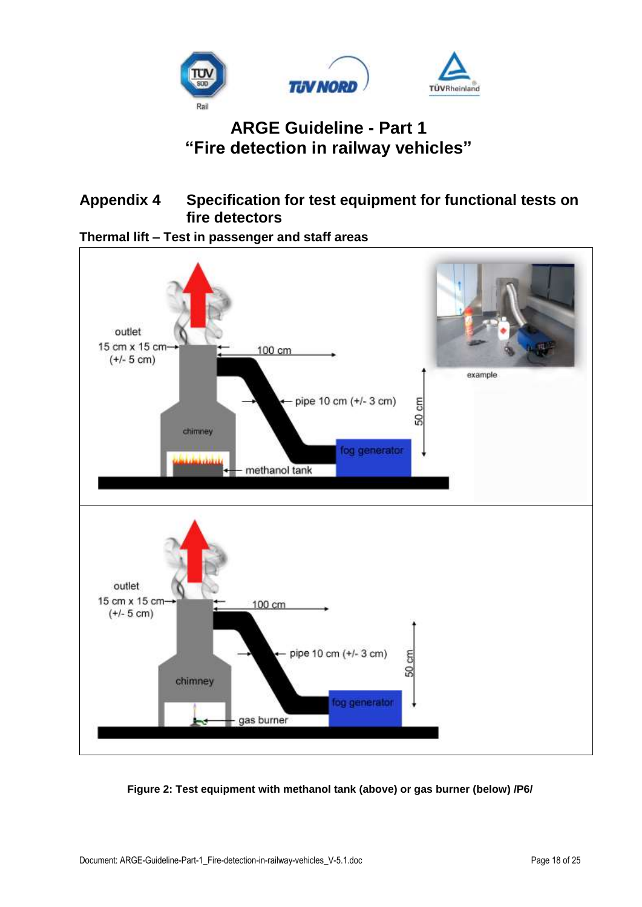

### <span id="page-17-0"></span>**Appendix 4 Specification for test equipment for functional tests on fire detectors**

**Thermal lift – Test in passenger and staff areas**



**Figure 2: Test equipment with methanol tank (above) or gas burner (below) /P6/**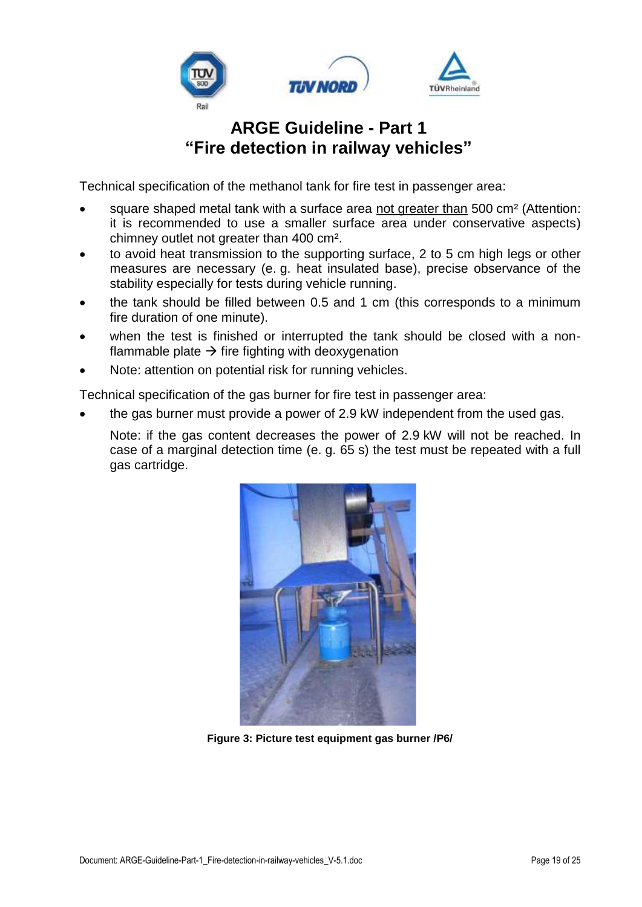

Technical specification of the methanol tank for fire test in passenger area:

- square shaped metal tank with a surface area not greater than 500 cm<sup>2</sup> (Attention: it is recommended to use a smaller surface area under conservative aspects) chimney outlet not greater than 400 cm².
- to avoid heat transmission to the supporting surface, 2 to 5 cm high legs or other measures are necessary (e. g. heat insulated base), precise observance of the stability especially for tests during vehicle running.
- the tank should be filled between 0.5 and 1 cm (this corresponds to a minimum fire duration of one minute).
- when the test is finished or interrupted the tank should be closed with a nonflammable plate  $\rightarrow$  fire fighting with deoxygenation
- Note: attention on potential risk for running vehicles.

Technical specification of the gas burner for fire test in passenger area:

• the gas burner must provide a power of 2.9 kW independent from the used gas.

Note: if the gas content decreases the power of 2.9 kW will not be reached. In case of a marginal detection time (e. g. 65 s) the test must be repeated with a full gas cartridge.



**Figure 3: Picture test equipment gas burner /P6/**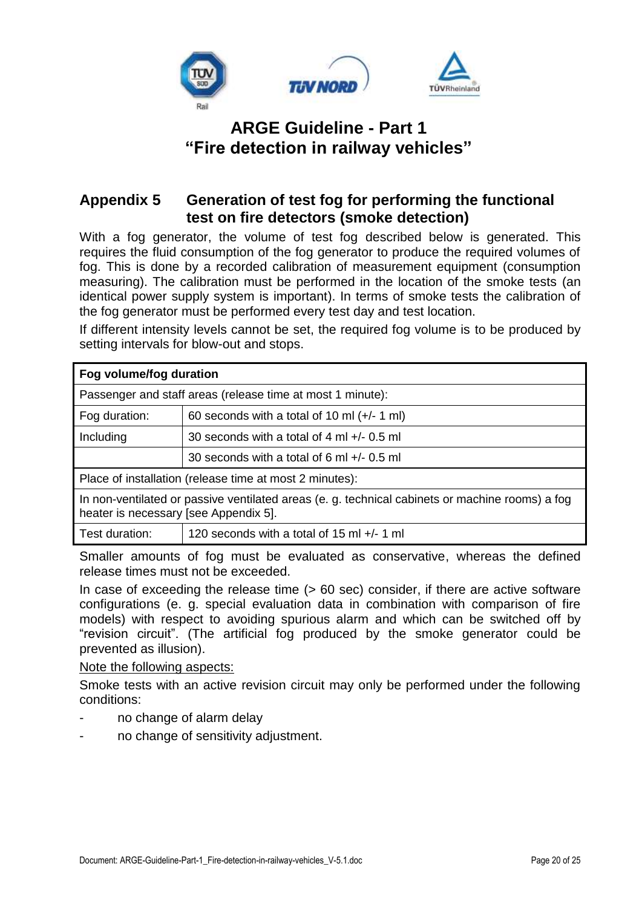

### <span id="page-19-0"></span>**Appendix 5 Generation of test fog for performing the functional test on fire detectors (smoke detection)**

With a fog generator, the volume of test fog described below is generated. This requires the fluid consumption of the fog generator to produce the required volumes of fog. This is done by a recorded calibration of measurement equipment (consumption measuring). The calibration must be performed in the location of the smoke tests (an identical power supply system is important). In terms of smoke tests the calibration of the fog generator must be performed every test day and test location.

If different intensity levels cannot be set, the required fog volume is to be produced by setting intervals for blow-out and stops.

| Fog volume/fog duration                                                                                                                  |                                               |  |  |  |
|------------------------------------------------------------------------------------------------------------------------------------------|-----------------------------------------------|--|--|--|
| Passenger and staff areas (release time at most 1 minute):                                                                               |                                               |  |  |  |
| Fog duration:                                                                                                                            | 60 seconds with a total of 10 ml $(+/- 1$ ml) |  |  |  |
| Including                                                                                                                                | 30 seconds with a total of 4 ml $+/-$ 0.5 ml  |  |  |  |
|                                                                                                                                          | 30 seconds with a total of 6 ml +/- 0.5 ml    |  |  |  |
| Place of installation (release time at most 2 minutes):                                                                                  |                                               |  |  |  |
| In non-ventilated or passive ventilated areas (e. g. technical cabinets or machine rooms) a fog<br>heater is necessary [see Appendix 5]. |                                               |  |  |  |
| Test duration:                                                                                                                           | 120 seconds with a total of 15 ml $+/-$ 1 ml  |  |  |  |

Smaller amounts of fog must be evaluated as conservative, whereas the defined release times must not be exceeded.

In case of exceeding the release time  $($  > 60 sec) consider, if there are active software configurations (e. g. special evaluation data in combination with comparison of fire models) with respect to avoiding spurious alarm and which can be switched off by "revision circuit". (The artificial fog produced by the smoke generator could be prevented as illusion).

#### Note the following aspects:

Smoke tests with an active revision circuit may only be performed under the following conditions:

- no change of alarm delay
- no change of sensitivity adjustment.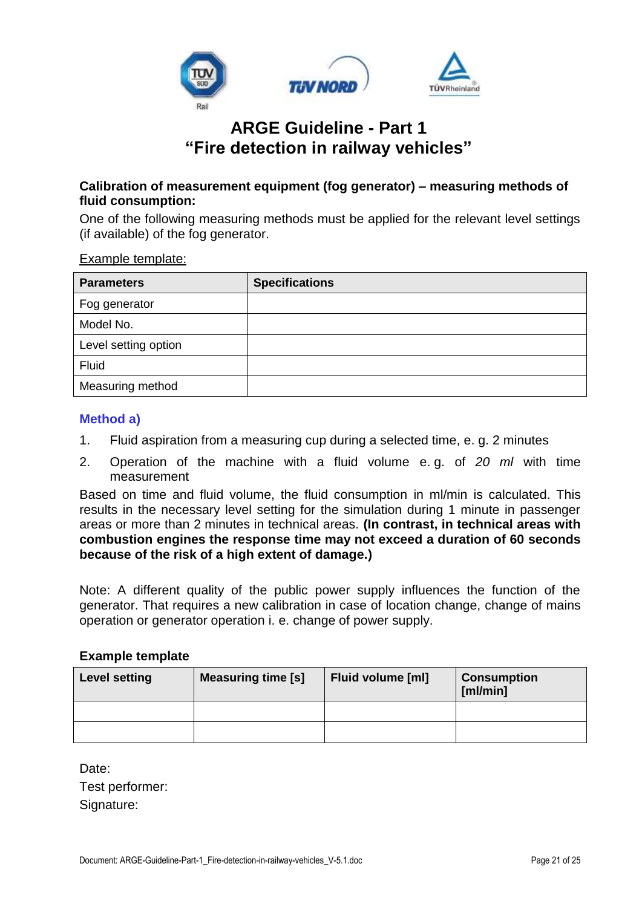

#### **Calibration of measurement equipment (fog generator) – measuring methods of fluid consumption:**

One of the following measuring methods must be applied for the relevant level settings (if available) of the fog generator.

Example template:

| <b>Parameters</b>    | <b>Specifications</b> |
|----------------------|-----------------------|
| Fog generator        |                       |
| Model No.            |                       |
| Level setting option |                       |
| Fluid                |                       |
| Measuring method     |                       |

#### **Method a)**

- 1. Fluid aspiration from a measuring cup during a selected time, e. g. 2 minutes
- 2. Operation of the machine with a fluid volume e. g. of *20 ml* with time measurement

Based on time and fluid volume, the fluid consumption in ml/min is calculated. This results in the necessary level setting for the simulation during 1 minute in passenger areas or more than 2 minutes in technical areas. **(In contrast, in technical areas with combustion engines the response time may not exceed a duration of 60 seconds because of the risk of a high extent of damage.)**

Note: A different quality of the public power supply influences the function of the generator. That requires a new calibration in case of location change, change of mains operation or generator operation i. e. change of power supply.

#### **Example template**

| <b>Level setting</b> | <b>Measuring time [s]</b> | <b>Fluid volume [ml]</b> | <b>Consumption</b><br>[ml/min] |  |
|----------------------|---------------------------|--------------------------|--------------------------------|--|
|                      |                           |                          |                                |  |
|                      |                           |                          |                                |  |

Date: Test performer: Signature: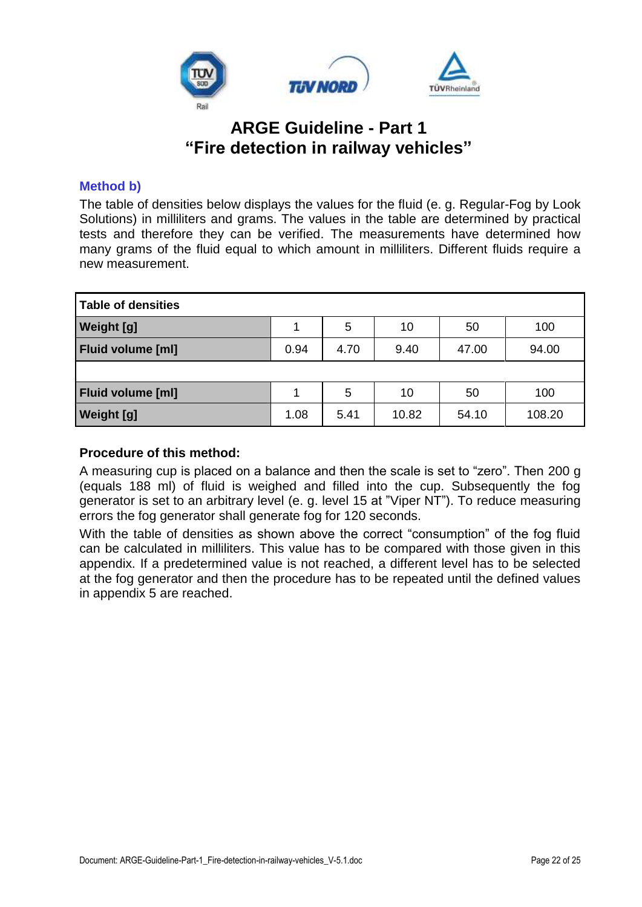

#### **Method b)**

The table of densities below displays the values for the fluid (e. g. Regular-Fog by Look Solutions) in milliliters and grams. The values in the table are determined by practical tests and therefore they can be verified. The measurements have determined how many grams of the fluid equal to which amount in milliliters. Different fluids require a new measurement.

| Table of densities       |      |      |       |       |        |  |  |
|--------------------------|------|------|-------|-------|--------|--|--|
| <b>Weight [g]</b>        |      | 5    | 10    | 50    | 100    |  |  |
| <b>Fluid volume [ml]</b> | 0.94 | 4.70 | 9.40  | 47.00 | 94.00  |  |  |
|                          |      |      |       |       |        |  |  |
| <b>Fluid volume [ml]</b> |      | 5    | 10    | 50    | 100    |  |  |
| <b>Weight [g]</b>        | 1.08 | 5.41 | 10.82 | 54.10 | 108.20 |  |  |

#### **Procedure of this method:**

A measuring cup is placed on a balance and then the scale is set to "zero". Then 200 g (equals 188 ml) of fluid is weighed and filled into the cup. Subsequently the fog generator is set to an arbitrary level (e. g. level 15 at "Viper NT"). To reduce measuring errors the fog generator shall generate fog for 120 seconds.

With the table of densities as shown above the correct "consumption" of the fog fluid can be calculated in milliliters. This value has to be compared with those given in this appendix. If a predetermined value is not reached, a different level has to be selected at the fog generator and then the procedure has to be repeated until the defined values in appendix 5 are reached.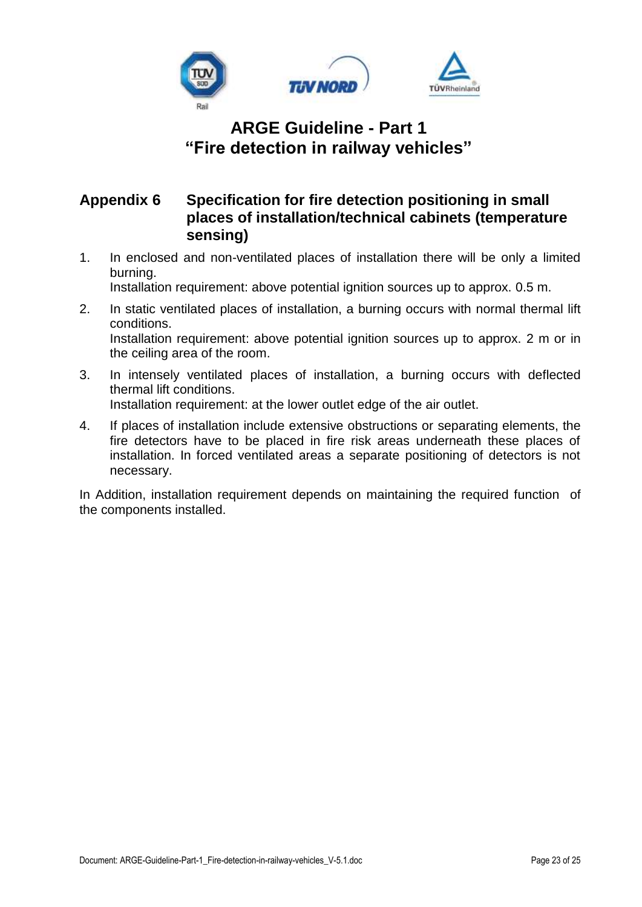

### <span id="page-22-0"></span>**Appendix 6 Specification for fire detection positioning in small places of installation/technical cabinets (temperature sensing)**

- 1. In enclosed and non-ventilated places of installation there will be only a limited burning. Installation requirement: above potential ignition sources up to approx. 0.5 m.
- 2. In static ventilated places of installation, a burning occurs with normal thermal lift conditions. Installation requirement: above potential ignition sources up to approx. 2 m or in the ceiling area of the room.
- 3. In intensely ventilated places of installation, a burning occurs with deflected thermal lift conditions. Installation requirement: at the lower outlet edge of the air outlet.
- 4. If places of installation include extensive obstructions or separating elements, the fire detectors have to be placed in fire risk areas underneath these places of installation. In forced ventilated areas a separate positioning of detectors is not necessary.

In Addition, installation requirement depends on maintaining the required function of the components installed.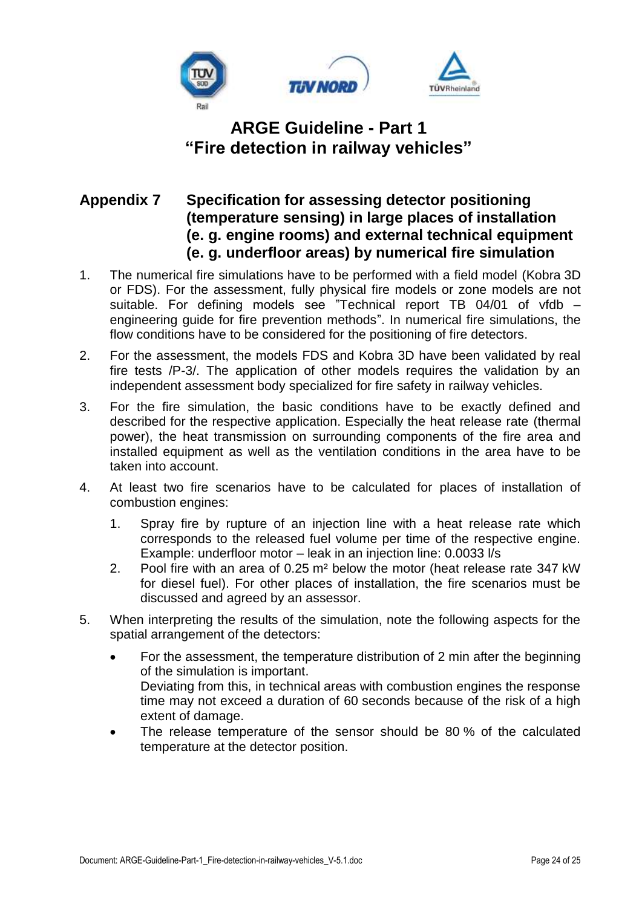

### <span id="page-23-0"></span>**Appendix 7 Specification for assessing detector positioning (temperature sensing) in large places of installation (e. g. engine rooms) and external technical equipment (e. g. underfloor areas) by numerical fire simulation**

- 1. The numerical fire simulations have to be performed with a field model (Kobra 3D or FDS). For the assessment, fully physical fire models or zone models are not suitable. For defining models see "Technical report TB 04/01 of vfdb – engineering guide for fire prevention methods". In numerical fire simulations, the flow conditions have to be considered for the positioning of fire detectors.
- 2. For the assessment, the models FDS and Kobra 3D have been validated by real fire tests /P-3/. The application of other models requires the validation by an independent assessment body specialized for fire safety in railway vehicles.
- 3. For the fire simulation, the basic conditions have to be exactly defined and described for the respective application. Especially the heat release rate (thermal power), the heat transmission on surrounding components of the fire area and installed equipment as well as the ventilation conditions in the area have to be taken into account.
- 4. At least two fire scenarios have to be calculated for places of installation of combustion engines:
	- 1. Spray fire by rupture of an injection line with a heat release rate which corresponds to the released fuel volume per time of the respective engine. Example: underfloor motor – leak in an injection line: 0.0033 l/s
	- 2. Pool fire with an area of 0.25 m² below the motor (heat release rate 347 kW for diesel fuel). For other places of installation, the fire scenarios must be discussed and agreed by an assessor.
- 5. When interpreting the results of the simulation, note the following aspects for the spatial arrangement of the detectors:
	- For the assessment, the temperature distribution of 2 min after the beginning of the simulation is important. Deviating from this, in technical areas with combustion engines the response time may not exceed a duration of 60 seconds because of the risk of a high extent of damage.
	- The release temperature of the sensor should be 80 % of the calculated temperature at the detector position.